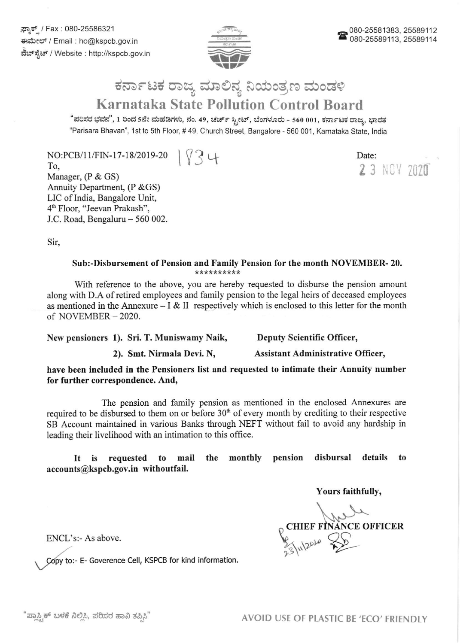್ಲಸ್ಟಾಕ್ಸ್ / Fax : 080-25586321 ಕಃಮೇಲ್ / Email : ho@kspcb.gov.in ವೆಬ್ಸ್ಟೆಟ್ / Website : http://kspcb.gov.in



Date:

23 NOV 2020

## ಕರ್ನಾಟಕ ರಾಜ್ಯ ಮಾಲಿನ್ಯ ನಿಯಂತ್ರಣ ಮಂಡಳಿ Karnataka State Pollution Control Board

"ಪರಿಸರ ಭವನ", 1 ರಿಂದ 5ನೇ ಮಹಡಿಗಳು, ನಂ. 49, ಚರ್ಚ್ ಸ್ಟೀಟ್, ಬೆಂಗಳೂರು - 560 001, ಕರ್ನಾಟಕ ರಾಜ್ಯ, ಭಾರತ "Parisara Bhavan", 1st to sth Floor, # 49, Church Street, Bangalore - 560 001 , Karnataka State, lndia

NO:PCB/11/FIN-17-18/2019-20  $|\sqrt{3}$  나

To, Manager, (P & GS) Annuity Department, (P & GS) LIC of India, Bangalore Unit, 4n Floor, "Jeevan Prakash", J.C. Road, Bengaluru - 560 002.

Sir,

## Sub:-Disbursement of Pension and Family Pension for the month NOVEMBER- 20.

With reference to the above, you are hereby requested to disburse the pension amount along with D.A of retired employees and family pension to the legal heirs of deceased employees as mentioned in the Annexure  $- I & II$  respectively which is enclosed to this letter for the month of NOVEMBER- 2020.

New pensioners 1). Sri. T. Muniswamy Naik, Deputy Scientific Officer,

2). Smt. Nirmala Devi. N, Assistant Administrative Officer,

have been included in the Pensioners list and requested to intimate their Annuity number for further correspondence. And,

The pension and family pension as mentioned in the enclosed Annexures are required to be disbursed to them on or before  $30<sup>th</sup>$  of every month by crediting to their respective SB Account maintained in various Banks through NEFT without fail to avoid any hardship in leading their livelihood with an intimation to this office.

It is requested to mail the monthly pension disbursal details to accounts@kspcb.gov.in withoutfail.

Yours faithfully,

 $\int$  $_{\mathbb{O}}$  CHIEF FINANCE OFFICER  $\frac{1}{2010}$ 

ENCL's:- As above.

Copy to:- E- Goverence Cell, KSPCB for kind information.